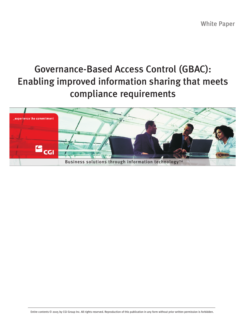White Paper

# Governance-Based Access Control (GBAC): Enabling improved information sharing that meets compliance requirements

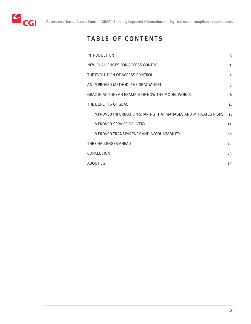

## TABLE OF CONTENTS

| <b>INTRODUCTION</b>                                           | 3                 |
|---------------------------------------------------------------|-------------------|
| NEW CHALLENGES FOR ACCESS CONTROL                             | 3                 |
| THE EVOLUTION OF ACCESS CONTROL                               | 5                 |
| AN IMPROVED METHOD: THE GBAC MODEL                            | 5                 |
| GBAC IN ACTION: AN EXAMPLE OF HOW THE MODEL WORKS             | 6                 |
| THE BENEFITS OF GBAC                                          | 11                |
| IMPROVED INFORMATION SHARING THAT MANAGES AND MITIGATES RISKS | 11                |
| IMPROVED SERVICE DELIVERY                                     | $12 \overline{ }$ |
| IMPROVED TRANSPARENCY AND ACCOUNTABILITY                      | 12                |
| THE CHALLENGES AHEAD                                          | 12                |
| CONCLUSION                                                    | 13                |
| <b>ABOUT CGI</b>                                              | 13                |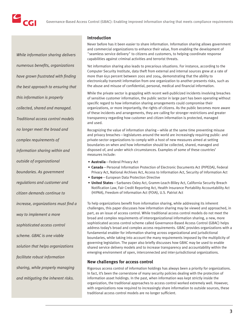

*While information sharing delivers numerous benefits, organizations have grown frustrated with finding the best approach to ensuring that this information is properly collected, shared and managed. Traditional access control models no longer meet the broad and complex requirements of information sharing within and outside of organizational boundaries. As government regulations and customer and citizen demands continue to increase, organizations must find a way to implement a more sophisticated access control scheme. GBAC is one viable solution that helps organizations facilitate robust information sharing, while properly managing and mitigating the inherent risks.*

## **Introduction**

Never before has it been easier to share information. Information sharing allows government and commercial organizations to enhance their value, from enabling the development of "seamless service delivery" to citizens and customers, to helping coordinate response capabilities against criminal activities and terrorist threats.

Yet information sharing also leads to precarious situations. For instance, according to the Computer Security Institute, data theft from external and internal sources grew at a rate of more than 650 percent between 2001 and 2004, demonstrating that the ability to electronically transmit information from one organization to another presents risks, such as the abuse and misuse of confidential, personal, medical and financial information.

While the private sector is grappling with recent well-publicized incidents involving breaches of sensitive customer information, the public sector in large part has been operating without specific regard to how information sharing arrangements could compromise their organizations, or more importantly, the rights of citizens. As the public becomes more aware of these incidents and arrangements, they are calling for stronger restrictions and greater transparency regarding how customer and citizen information is protected, managed and used.

Recognizing the value of information sharing—while at the same time preventing misuse and privacy breaches—legislatures around the world are increasingly requiring public- and private-sector organizations to comply with a host of new measures aimed at setting boundaries on when and how information should be collected, shared, managed and disposed of, and under which circumstances. Examples of some of these countries' measures include:

- **Australia**—Federal Privacy Act
- **Canada**—Personal Information Protection of Electronic Documents Act (PIPEDA), Federal Privacy Act, National Archives Act, Access to Information Act, Security of Information Act
- **Europe**—European Data Protection Directive
- **United States**—Sarbanes-Oxley Act, Gramm-Leach-Bliley Act, California Security Breach Notification Law, Fair Credit Reporting Act, Health Insurance Portability Accountability Act (HIPAA), Freedom of Information Act (FOIA), U.S. Patriot Act

To help organizations benefit from information sharing, while addressing its inherent challenges, this paper discusses how information sharing may be viewed and approached, in part, as an issue of access control. While traditional access control models do not meet the broad and complex requirements of interorganizational information sharing, a new, more sophisticated access control scheme called Governance-Based Access Control (GBAC) helps address today's broad and complex access requirements. GBAC provides organizations with a fundamental enabler for information sharing across organizational and jurisdictional boundaries, while taking into account the many requirements imposed by the multiplicity of governing legislation. The paper also briefly discusses how GBAC may be used to enable shared service delivery models and to increase transparency and accountability within the emerging environment of open, interconnected and inter-jurisdictional organizations.

## **New challenges for access control**

Rigorous access control of information holdings has always been a priority for organizations. In fact, it's been the cornerstone of many security policies dealing with the protection of information asset holdings. In the past, when information was kept strictly inside the organization, the traditional approaches to access control worked extremely well. However, with organizations now required to increasingly share information to outside sources, these traditional access control models are no longer sufficient.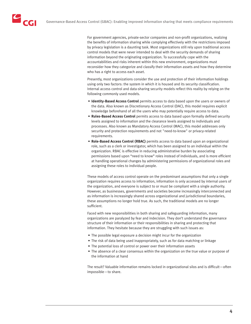For government agencies, private-sector companies and non-profit organizations, realizing the benefits of information sharing while complying effectively with the restrictions imposed by privacy legislation is a daunting task. Most organizations still rely upon traditional access control models that were never intended to deal with the security demands of sharing information beyond the originating organization. To successfully cope with the accountabilities and risks inherent within this new environment, organizations must reconsider how they categorize and classify their information assets and how they determine who has a right to access each asset.

Presently, most organizations consider the use and protection of their information holdings using only two factors: the system in which it is housed and its security classification. Internal access control and data-sharing security models reflect this reality by relying on the following commonly used models.

- **Identity-Based Access Control** permits access to data based upon the users or owners of the data. Also known as Discretionary Access Control (DAC), this model requires explicit knowledge beforehand of all the users who may potentially require access to data.
- **Rules-Based Access Control** permits access to data based upon formally defined security levels assigned to information and the clearance levels assigned to individuals and processes. Also known as Mandatory Access Control (MAC), this model addresses only security and protection requirements and not "need-to-know" or privacy-related requirements.
- **Role-Based Access Control (RBAC)** permits access to data based upon an organizational role, such as a clerk or investigator, which has been assigned to an individual within the organization. RBAC is effective in reducing administrative burden by associating permissions based upon "need to know" roles instead of individuals, and is more efficient at handling operational changes by administering permissions of organizational roles and assigning these roles to individual people.

These models of access control operate on the predominant assumptions that only a single organization requires access to information, information is only accessed by internal users of the organization, and everyone is subject to or must be compliant with a single authority. However, as businesses, governments and societies become increasingly interconnected and as information is increasingly shared across organizational and jurisdictional boundaries, these assumptions no longer hold true. As such, the traditional models are no longer sufficient.

Faced with new responsibilities in both sharing and safeguarding information, many organizations are paralyzed by fear and indecision. They don't understand the governance structure of their information or their responsibilities in sharing and protecting that information. They hesitate because they are struggling with such issues as:

- The possible legal exposure a decision might incur for the organization
- The risk of data being used inappropriately, such as for data matching or linkage
- The potential loss of control or power over their information assets
- The absence of a clear consensus within the organization on the true value or purpose of the information at hand

The result? Valuable information remains locked in organizational silos and is difficult—often impossible—to share.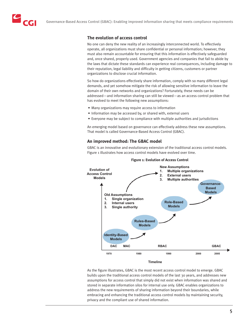## **The evolution of access control**

No one can deny the new reality of an increasingly interconnected world. To effectively operate, all organizations must share confidential or personal information; however, they must also remain accountable for ensuring that this information is effectively safeguarded and, once shared, properly used. Government agencies and companies that fail to abide by the laws that dictate these standards can experience real consequences, including damage to their reputation, legal liability and difficulty in getting citizens, customers or partner organizations to disclose crucial information.

So how do organizations effectively share information, comply with so many different legal demands, and yet somehow mitigate the risk of allowing sensitive information to leave the domain of their own networks and organizations? Fortunately, these needs can be addressed—and information sharing can still be viewed—as an access control problem that has evolved to meet the following new assumptions:

- Many organizations may require access to information
- Information may be accessed by, or shared with, external users
- Everyone may be subject to compliance with multiple authorities and jurisdictions

An emerging model based on governance can effectively address these new assumptions. That model is called Governance-Based Access Control (GBAC).

## **An improved method: The GBAC model**

GBAC is an innovative and evolutionary extension of the traditional access control models. Figure 1 illustrates how access control models have evolved over time.



## As the figure illustrates, GBAC is the most recent access control model to emerge. GBAC builds upon the traditional access control models of the last 30 years, and addresses new assumptions for access control that simply did not exist when information was shared and stored in separate information silos for internal use only. GBAC enables organizations to address the new requirements of sharing information beyond their boundaries, while embracing and enhancing the traditional access control models by maintaining security, privacy and the compliant use of shared information.

#### **Figure 1: Evolution of Access Control**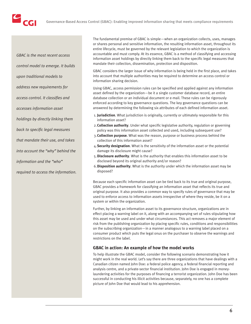

*GBAC is the most recent access control model to emerge. It builds upon traditional models to address new requirements for access control. It classifies and accesses information asset holdings by directly linking them back to specific legal measures that mandate their use, and takes into account the "why" behind the information and the "who" required to access the information.* The fundamental premise of GBAC is simple—when an organization collects, uses, manages or shares personal and sensitive information, the resulting information asset, throughout its entire lifecycle, must be governed by the relevant legislation to which the organization is accountable and must comply. At its essence, GBAC is a method of classifying and accessing information asset holdings by directly linking them back to the specific legal measures that mandate their collection, dissemination, protection and disposition.

GBAC considers the larger issue of why information is being held in the first place, and takes into account that multiple authorities may be required to determine an access control or information sharing decision.

Using GBAC, access permission rules can be specified and applied against any information asset defined by the organization—be it a single customer database record, an entire database collection or an individual document or e-mail. These rules can be rigorously enforced according to key governance questions. The key governance questions can be answered by determining the following six attributes of each defined information asset.

- 1. **Jurisdiction**. What jurisdiction is originally, currently or ultimately responsible for this information asset?
- 2.**Collection authority**. Under what specific legislative authority, regulation or governing policy was this information asset collected and used, including subsequent use?
- 3.**Collection purpose**. What was the reason, purpose or business process behind the collection of this information asset?
- 4.**Security designation**. What is the sensitivity of the information asset or the potential damage its disclosure might cause?
- 5.**Disclosure authority**. What is the authority that enables this information asset to be disclosed beyond its original authority and/or reason?
- 6.**Disposition authority**. What is the authority under which the information asset may be disposed?

Because each specific information asset can be tied back to its true and original purpose, GBAC provides a framework for classifying an information asset that reflects its true and original purpose. It also provides a common way to specify rules of governance that may be used to enforce access to information assets irrespective of where they reside, be it on a system or within the organization.

Further, by linking an information asset to its governance structure, organizations are in effect placing a warning label on it, along with an accompanying set of rules stipulating how this asset may be used and under what circumstances. This act removes a major element of risk from the publishing organization by placing specific rules, conditions and responsibilities on the subscribing organization—in a manner analogous to a warning label placed on a consumer product which puts the legal onus on the purchaser to observe the warnings and restrictions on the label.

## **GBAC in action: An example of how the model works**

To help illustrate the GBAC model, consider the following scenario demonstrating how it might work in the real world. Let's say there are three organizations that have dealings with a Canadian citizen named John Doe: a federal police agency, a federal financial reporting and analysis centre, and a private-sector financial institution. John Doe is engaged in moneylaundering activities for the purposes of financing a terrorist organization. John Doe has been successful in conducting his illicit activities because, separately, no one has a complete picture of John Doe that would lead to his apprehension.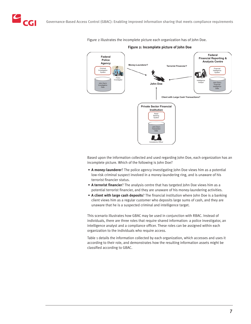CGI



Figure 2 illustrates the incomplete picture each organization has of John Doe.

**Figure 2: Incomplete picture of John Doe**

Based upon the information collected and used regarding John Doe, each organization has an incomplete picture. Which of the following is John Doe?

- **A money-launderer**? The police agency investigating John Doe views him as a potential low-risk criminal suspect involved in a money-laundering ring, and is unaware of his terrorist financier status.
- **A terrorist financier**? The analysis centre that has targeted John Doe views him as a potential terrorist financier, and they are unaware of his money-laundering activities.
- **A client with large cash deposits**? The financial institution where John Doe is a banking client views him as a regular customer who deposits large sums of cash, and they are unaware that he is a suspected criminal and intelligence target.

This scenario illustrates how GBAC may be used in conjunction with RBAC. Instead of individuals, there are three roles that require shared information: a police investigator, an intelligence analyst and a compliance officer. These roles can be assigned within each organization to the individuals who require access.

Table 1 details the information collected by each organization, which accesses and uses it according to their role, and demonstrates how the resulting information assets might be classified according to GBAC.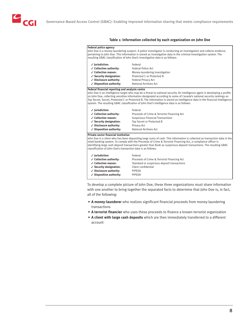#### **Table 1: Information collected by each organization on John Doe**

| <b>Federal police agency</b>                                                                                                                                               |                                                                                                                                                                                                                                                                                                                                                                                                                                                                                |  |  |  |  |
|----------------------------------------------------------------------------------------------------------------------------------------------------------------------------|--------------------------------------------------------------------------------------------------------------------------------------------------------------------------------------------------------------------------------------------------------------------------------------------------------------------------------------------------------------------------------------------------------------------------------------------------------------------------------|--|--|--|--|
| John Doe is a money-laundering suspect. A police investigator is conducting an investigation and collects evidence                                                         |                                                                                                                                                                                                                                                                                                                                                                                                                                                                                |  |  |  |  |
|                                                                                                                                                                            | pertaining to John Doe. This information is stored as investigative data in the criminal investigation system. The                                                                                                                                                                                                                                                                                                                                                             |  |  |  |  |
|                                                                                                                                                                            | resulting GBAC classification of John Doe's investigative data is as follows:                                                                                                                                                                                                                                                                                                                                                                                                  |  |  |  |  |
| $\checkmark$ Jurisdiction:                                                                                                                                                 | Federal                                                                                                                                                                                                                                                                                                                                                                                                                                                                        |  |  |  |  |
| ✓ Collection authority:                                                                                                                                                    | <b>Federal Police Act</b>                                                                                                                                                                                                                                                                                                                                                                                                                                                      |  |  |  |  |
| ✓ Collection reason:                                                                                                                                                       | Money-laundering investigation                                                                                                                                                                                                                                                                                                                                                                                                                                                 |  |  |  |  |
| ✓ Security designation:                                                                                                                                                    | Protected C or Protected B                                                                                                                                                                                                                                                                                                                                                                                                                                                     |  |  |  |  |
| ✓ Disclosure authority:                                                                                                                                                    | <b>Federal Privacy Act</b>                                                                                                                                                                                                                                                                                                                                                                                                                                                     |  |  |  |  |
| $\checkmark$ Disposition authority:                                                                                                                                        | National Archives Act                                                                                                                                                                                                                                                                                                                                                                                                                                                          |  |  |  |  |
| Federal financial reporting and analysis centre                                                                                                                            |                                                                                                                                                                                                                                                                                                                                                                                                                                                                                |  |  |  |  |
|                                                                                                                                                                            | John Doe is an intelligence target who may be a threat to national security. An intelligence agent is developing a profile<br>on John Doe, collecting sensitive information designated according to some of Canada's national security rankings as<br>Top Secret, Secret, Protected C or Protected B. The information is stored as intelligence data in the financial intelligence<br>system. The resulting GBAC classification of John Doe's intelligence data is as follows: |  |  |  |  |
| $\checkmark$ lurisdiction:                                                                                                                                                 | Federal                                                                                                                                                                                                                                                                                                                                                                                                                                                                        |  |  |  |  |
| ✓ Collection authority:                                                                                                                                                    | Proceeds of Crime & Terrorist Financing Act                                                                                                                                                                                                                                                                                                                                                                                                                                    |  |  |  |  |
| ✓ Collection reason:                                                                                                                                                       | <b>Suspicious Financial Transactions</b>                                                                                                                                                                                                                                                                                                                                                                                                                                       |  |  |  |  |
| ✓ Security designation:                                                                                                                                                    | Top Secret or Protected B                                                                                                                                                                                                                                                                                                                                                                                                                                                      |  |  |  |  |
| ✓ Disclosure authority:                                                                                                                                                    | Privacy Act                                                                                                                                                                                                                                                                                                                                                                                                                                                                    |  |  |  |  |
| $\checkmark$ Disposition authority:                                                                                                                                        | National Archives Act                                                                                                                                                                                                                                                                                                                                                                                                                                                          |  |  |  |  |
| <b>Private-sector financial institution</b><br>classification of John Doe's transaction data is as follows:                                                                | John Doe is a client who has been depositing large sums of cash. This information is collected as transaction data in the<br>retail banking system. To comply with the Proceeds of Crime & Terrorist Financing Act, a compliance officer is<br>identifying large cash deposit transactions greater than \$10K as suspicious deposit transactions. The resulting GBAC                                                                                                           |  |  |  |  |
| $\checkmark$ lurisdiction:<br>✓ Collection authority:<br>✓ Collection reason:<br>✓ Security designation:<br>✓ Disclosure authority:<br>$\checkmark$ Disposition authority: | Federal<br>Proceeds of Crime & Terrorist Financing Act<br>Standard or suspicious deposit transactions<br>Client confidential<br>PIPFDA<br>PIPEDA                                                                                                                                                                                                                                                                                                                               |  |  |  |  |

To develop a complete picture of John Doe, these three organizations must share information with one another to bring together the separated facts to determine that John Doe is, in fact, all of the following:

- **A money-launderer** who realizes significant financial proceeds from money-laundering transactions
- **A terrorist financier** who uses these proceeds to finance a known terrorist organization
- **A client with large cash deposits** which are then immediately transferred to a different account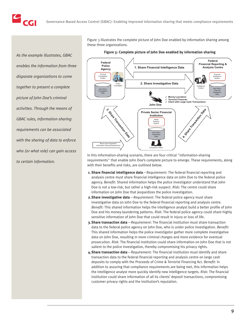*As the example illustrates, GBAC enables the information from three disparate organizations to come together to present a complete picture of John Doe's criminal activities. Through the means of GBAC rules, information-sharing requirements can be associated with the sharing of data to enforce who (or what role) can gain access to certain information.*

**CGI** 

Figure 3 illustrates the complete picture of John Doe enabled by information sharing among these three organizations.

**Figure 3: Complete picture of John Doe enabled by information sharing**



In this information-sharing scenario, there are four critical "information-sharing requirements" that enable John Doe's complete picture to emerge. These requirements, along with their benefits and risks, are outlined below.

- **1. Share financial intelligence data**—*Requirement:* The federal financial reporting and analysis centre must share financial intelligence data on John Doe to the federal police agency. *Benefit:* Shared information helps the police investigator understand that John Doe is not a low-risk, but rather a high-risk suspect. *Risk:* The centre could share information on John Doe that jeopardizes the police investigation.
- **2.Share investigative data**—*Requirement:* The federal police agency must share investigative data on John Doe to the federal financial reporting and analysis centre. *Benefit:* This shared information helps the intelligence analyst build a better profile of John Doe and his money-laundering patterns. *Risk:* The federal police agency could share highly sensitive information of John Doe that could result in injury or loss of life.
- **3. Share transaction data**—*Requirement:* The financial institution must share transaction data to the federal police agency on John Doe, who is under police investigation. *Benefit:* This shared information helps the police investigator gather more complete investigative data on John Doe, resulting in more criminal charges and more evidence for eventual prosecution. *Risk:* The financial institution could share information on John Doe that is not salient to the police investigation, thereby compromising his privacy rights.
- **4.Share transaction data**—*Requirement:* The financial institution must identify and share transaction data to the federal financial reporting and analysis centre on large cash deposits to comply with the Proceeds of Crime & Terrorist Financing Act. *Benefit:* In addition to assuring that compliance requirements are being met, this information helps the intelligence analyst more quickly identify new intelligence targets. *Risk:* The financial institution could share information of all its clients' deposit transactions, compromising customer privacy rights and the institution's reputation.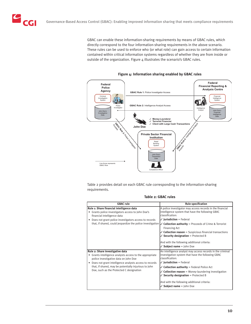**CGI** 

GBAC can enable these information-sharing requirements by means of GBAC rules, which directly correspond to the four information-sharing requirements in the above scenario. These rules can be used to enforce who (or what role) can gain access to certain information contained within critical information systems regardless of whether they are from inside or outside of the organization. Figure  $4$  illustrates the scenario's GBAC rules.



**Figure 4: Information sharing enabled by GBAC rules**

Table 2 provides detail on each GBAC rule corresponding to the information-sharing requirements.

| Table 2: GBAC rules |  |  |
|---------------------|--|--|
|---------------------|--|--|

| <b>GBAC</b> rule                                                                                                                                                                                                                                                                                     | <b>Rule specification</b>                                                                                                                                                                                                                                                                                                                                                                                                                                                            |
|------------------------------------------------------------------------------------------------------------------------------------------------------------------------------------------------------------------------------------------------------------------------------------------------------|--------------------------------------------------------------------------------------------------------------------------------------------------------------------------------------------------------------------------------------------------------------------------------------------------------------------------------------------------------------------------------------------------------------------------------------------------------------------------------------|
| Rule 1: Share financial intelligence data<br>Grants police investigators access to John Doe's<br>financial intelligence data<br>Does not grant police investigators access to records<br>٠<br>that, if shared, could jeopardize the police investigation                                             | A police investigator may access records in the financial<br>intelligence system that have the following GBAC<br>classification:<br>$\checkmark$ Jurisdiction = Federal<br>$\checkmark$ Collection authority = Proceeds of Crime & Terrorist<br><b>Financing Act</b><br>$\checkmark$ Collection reason = Suspicious financial transactions<br>$\checkmark$ Security designation = Protected B<br>And with the following additional criteria:<br>$\checkmark$ Subject name = John Doe |
| Rule 2: Share investigative data<br>• Grants intelligence analysts access to the appropriate<br>police investigative data on John Doe<br>Does not grant intelligence analysts access to records<br>that, if shared, may be potentially injurious to John<br>Doe, such as the Protected C designation | An intelligence analyst may access records in the criminal<br>investigation system that have the following GBAC<br>classification:<br>$\checkmark$ Jurisdiction = Federal<br>$\checkmark$ Collection authority = Federal Police Act<br>$\checkmark$ Collection reason = Money-laundering investigation<br>$\checkmark$ Security designation = Protected B<br>And with the following additional criteria:<br>$\checkmark$ Subject name = John Doe                                     |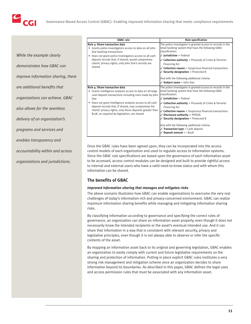

*While the example clearly demonstrates how GBAC can improve information sharing, there are additional benefits that organizations can achieve. GBAC also allows for the seamless delivery of an organization's programs and services and enables transparency and accountability within and across organizations and jurisdictions.*

| <b>GBAC</b> rule                                                                                                                                                                                                                                                                                                                                                                             | <b>Rule specification</b>                                                                                                                                                                                                                                                                                                                                                                                                                                                                                                                                                                        |
|----------------------------------------------------------------------------------------------------------------------------------------------------------------------------------------------------------------------------------------------------------------------------------------------------------------------------------------------------------------------------------------------|--------------------------------------------------------------------------------------------------------------------------------------------------------------------------------------------------------------------------------------------------------------------------------------------------------------------------------------------------------------------------------------------------------------------------------------------------------------------------------------------------------------------------------------------------------------------------------------------------|
| Rule 3: Share transaction data<br>Grants police investigators access to data on all John<br>٠<br>Doe banking transactions<br>Does not grant police investigators access to all cash<br>deposit records that, if shared, would compromise<br>clients' privacy rights; only John Doe's records are<br>shared                                                                                   | The police investigator is granted access to records in the<br>retail banking system that have the following GBAC<br>classification:<br>$\checkmark$ Jurisdiction = Federal<br>$\checkmark$ Collection authority = Proceeds of Crime & Terrorist<br><b>Financing Act</b><br>$\checkmark$ Collection reason = Suspicious financial transactions<br>$\checkmark$ Security designation = Protected B<br>And with the following additional criteria:<br>$\checkmark$ Subject name = John Doe                                                                                                         |
| Rule 4: Share transaction data<br>• Grants intelligence analysts access to data on all large<br>cash deposit transactions including ones made by John<br>Doe<br>Does not grant intelligence analysts access to all cash<br>deposit records that, if shared, may compromise the<br>clients' privacy rights; only those deposits greater than<br>\$10K, as required by legislation, are shared | The police investigator is granted access to records in the<br>retail banking system that have the following GBAC<br>classification:<br>$\checkmark$ lurisdiction = Federal<br>$\checkmark$ Collection authority = Proceeds of Crime & Terrorist<br><b>Financing Act</b><br>$\checkmark$ Collection reason = Suspicious financial transactions<br>$\checkmark$ Disclosure authority = PIPEDA<br>$\checkmark$ Security designation = Protected B<br>And with the following additional criteria:<br>$\sqrt{}$ Transaction type = Cash deposit<br>$\checkmark$ Deposit amount = $\frac{1}{2}$ \$10K |

Once the GBAC rules have been agreed upon, they can be incorporated into the access control models of each organization and used to regulate access to information systems. Since the GBAC rule specifications are based upon the governance of each information asset to be accessed, access control modules can be designed and built to provide rightful access to internal and external users who have a valid need-to-know status and with whom this information can be shared.

## **The benefits of GBAC**

## *Improved information sharing that manages and mitigates risks*

The above scenario illustrates how GBAC can enable organizations to overcome the very real challenges of today's information-rich and privacy-concerned environment. GBAC can realize maximum information sharing benefits while managing and mitigating information sharing risks.

By classifying information according to governance and specifying the correct rules of governance, an organization can share an information asset properly, even though it does not necessarily know the intended recipients or the asset's eventual intended use. And it can share that information in a way that is consistent with relevant security, privacy and legislative principles, even though it is not always able to observe or infer the specific contents of the asset.

By mapping an information asset back to its original and governing legislation, GBAC enables an organization to easily comply with current and future legislative requirements on the sharing and protection of information. Putting in place explicit GBAC rules institutes a very strong risk management and mitigation scheme once an organization decides to share information beyond its boundaries. As described in this paper, GBAC defines the legal uses and access permission rules that must be associated with any information asset.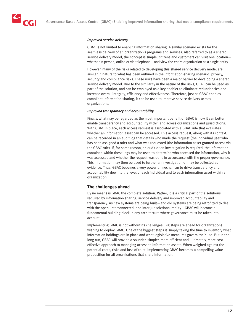## *Improved service delivery*

GBAC is not limited to enabling information sharing. A similar scenario exists for the seamless delivery of an organization's programs and services. Also referred to as a shared service delivery model, the concept is simple: citizens and customers can visit one location whether in person, online or via telephone—and view the entire organization as a single entity.

However, many of the risks related to developing this shared service delivery model are similar in nature to what has been outlined in the information-sharing scenario: privacy, security and compliance risks. These risks have been a major barrier to developing a shared service delivery model. Due to the similarity in the nature of the risks, GBAC can be used as part of the solution, and can be employed as a key enabler to eliminate redundancies and increase overall integrity, efficiency and effectiveness. Therefore, just as GBAC enables compliant information sharing, it can be used to improve service delivery across organizations.

#### *Improved transparency and accountability*

Finally, what may be regarded as the most important benefit of GBAC is how it can better enable transparency and accountability within and across organizations and jurisdictions. With GBAC in place, each access request is associated with a GBAC rule that evaluates whether an information asset can be accessed. This access request, along with its context, can be recorded in an audit log that details who made the request (the individual user who has been assigned a role) and what was requested (the information asset granted access via the GBAC rule). If, for some reason, an audit or an investigation is required, the information contained within these logs may be used to determine who accessed the information, why it was accessed and whether the request was done in accordance with the proper governance. This information may then be used to further an investigation or may be collected as evidence. Thus, GBAC becomes a very powerful mechanism to drive transparency and accountability down to the level of each individual and to each information asset within an organization.

## **The challenges ahead**

By no means is GBAC the complete solution. Rather, it is a critical part of the solutions required by information sharing, service delivery and improved accountability and transparency. As new systems are being built—and old systems are being retrofitted to deal with the open, interconnected, and inter-jurisdictional reality—GBAC will become a fundamental building block in any architecture where governance must be taken into account.

Implementing GBAC is not without its challenges. Big steps are ahead for organizations wishing to deploy GBAC. One of the biggest steps is simply taking the time to inventory what information holdings are in place and what legislative measures govern their use. But in the long run, GBAC will provide a sounder, simpler, more efficient and, ultimately, more costeffective approach to managing access to information assets. When weighed against the potential costs, risks and loss of trust, implementing GBAC becomes a compelling value proposition for all organizations that share information.